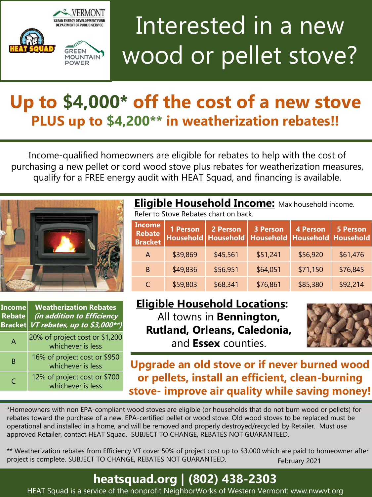

# Interested in a new wood or pellet stove?

## **Up to \$4,000\* off the cost of a new stove PLUS up to \$4,200\*\* in weatherization rebates!!**

Income-qualified homeowners are eligible for rebates to help with the cost of purchasing a new pellet or cord wood stove plus rebates for weatherization measures, qualify for a FREE energy audit with HEAT Squad, and financing is available.



\*Homeowners with non EPA-compliant wood stoves are eligible (or households that do not burn wood or pellets) for rebates toward the purchase of a new, EPA-certified pellet or wood stove. Old wood stoves to be replaced must be operational and installed in a home, and will be removed and properly destroyed/recycled by Retailer. Must use approved Retailer, contact HEAT Squad. SUBJECT TO CHANGE, REBATES NOT GUARANTEED.

\*\* Weatherization rebates from Efficiency VT cover 50% of project cost up to \$3,000 which are paid to homeowner after project is complete. SUBJECT TO CHANGE, REBATES NOT GUARANTEED. February 2021

### **heatsquad.org | (802) 438-2303**

HEAT Squad is a service of the nonprofit NeighborWorks of Western Vermont: www.nwwvt.org